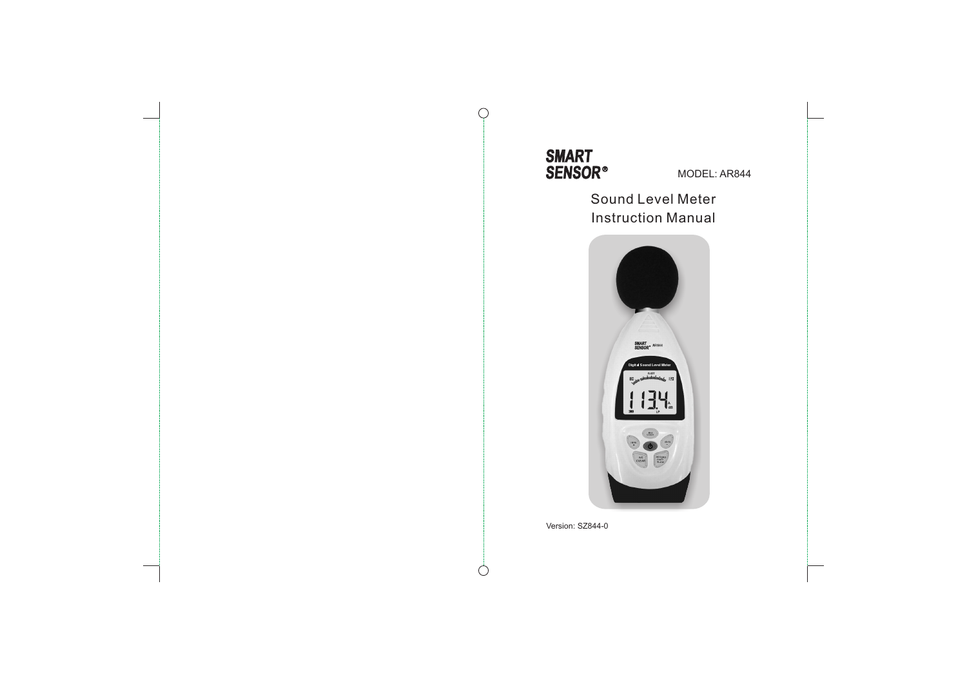

 $\bigcap$ 

 $\bigcirc$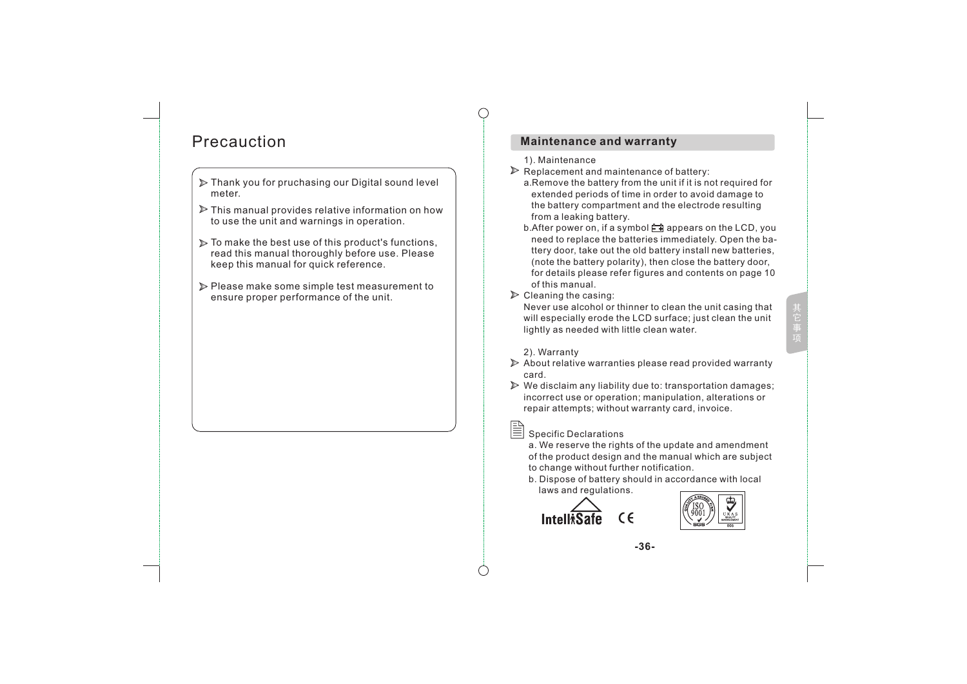# Precauction

- $\triangleright$  Thank you for pruchasing our Digital sound level meter.
- $\triangleright$  This manual provides relative information on how to use the unit and warnings in operation.
- $\triangleright$  To make the best use of this product's functions, read this manual thoroughly before use. Please keep this manual for quick reference.
- Please make some simple test measurement to ensure proper performance of the unit.

## **Maintenance and warranty**

#### 1). Maintenance

- $\triangleright$  Replacement and maintenance of battery:
	- a.Remove the battery from the unit if it is not required for extended periods of time in order to avoid damage to the battery compartment and the electrode resulting from a leaking battery.
	- b. After power on, if a symbol  $\Box$  appears on the LCD, you need to replace the batteries immediately. Open the ba ttery door, take out the old battery install new batteries, (note the battery polarity), then close the battery door, for details please refer figures and contents on page 10 of this manual.

### $\triangleright$  Cleaning the casing:

Never use alcohol or thinner to clean the unit casing that will especially erode the LCD surface; just clean the unit lightly as needed with little clean water.

#### 2). Warranty

 $\triangleright$  About relative warranties please read provided warranty card.

 $\triangleright$  We disclaim any liability due to: transportation damages; incorrect use or operation; manipulation, alterations or repair attempts; without warranty card, invoice.

Specific Declarations

a. We reserve the rights of the update and amendment of the product design and the manual which are subject to change without further notification.

b. Dispose of battery should in accordance with local laws and regulations.





**-36-**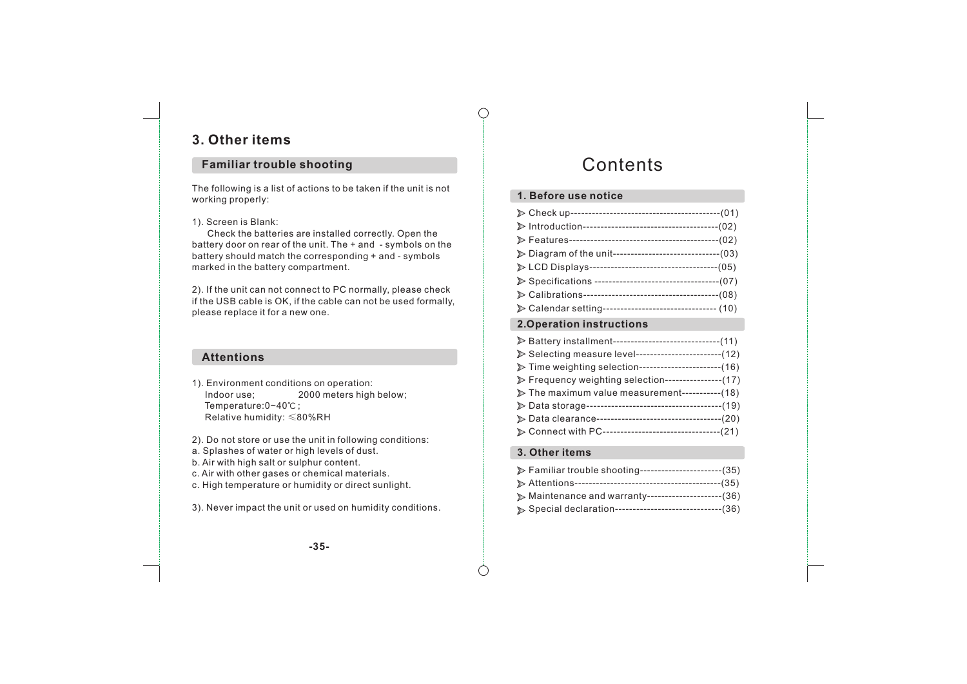# **3. Other items**

## **Familiar trouble shooting**

The following is a list of actions to be taken if the unit is not working properly:

### 1). Screen is Blank:

 Check the batteries are installed correctly. Open the battery door on rear of the unit. The + and - symbols on the battery should match the corresponding + and - symbols marked in the battery compartment.

2). If the unit can not connect to PC normally, please check if the USB cable is OK, if the cable can not be used formally, please replace it for a new one.

## **Attentions**

1). Environment conditions on operation: Indoor use; 2000 meters high below; Temperature:0~40℃; Relative humidity: ≤80%RH

2). Do not store or use the unit in following conditions:

- a. Splashes of water or high levels of dust.
- b. Air with high salt or sulphur content.
- c. Air with other gases or chemical materials.
- c. High temperature or humidity or direct sunlight.

3). Never impact the unit or used on humidity conditions.

# **Contents**

## **1. Before use notice**

| Diagram of the unit--------------------------------(03)   |  |
|-----------------------------------------------------------|--|
|                                                           |  |
|                                                           |  |
|                                                           |  |
| > Calendar setting---------------------------------- (10) |  |

## **2.Operation instructions**

| ▶ Battery installment------------------------------(11) |
|---------------------------------------------------------|
| ▶ Selecting measure level------------------------(12)   |
| > Time weighting selection-----------------------(16)   |
| Frequency weighting selection---------------(17)        |
| > The maximum value measurement-----------(18)          |
|                                                         |
| Data clearance-----------------------------------(20)   |
| > Connect with PC---------------------------------(21)  |

## **3. Other items**

| > Familiar trouble shooting-----------------------(35)  |  |
|---------------------------------------------------------|--|
|                                                         |  |
| Maintenance and warranty---------------------(36)       |  |
| > Special declaration------------------------------(36) |  |

**-35-**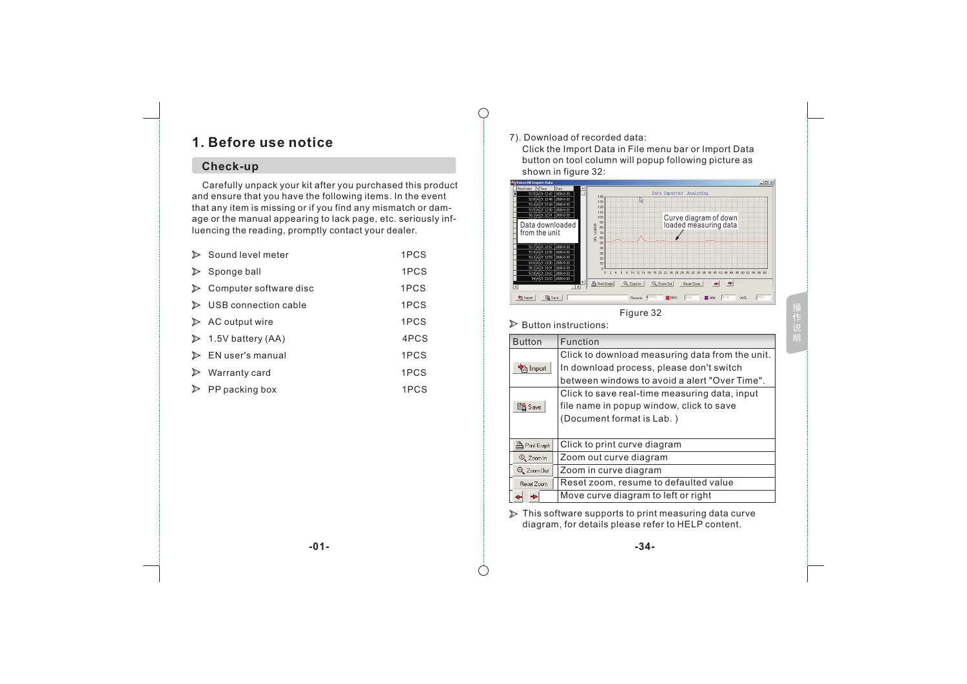# **1. Before use notice**

## **Check-up**

 Carefully unpack your kit after you purchased this product and ensure that you have the following items. In the event that any item is missing or if you find any mismatch or damage or the manual appearing to lack page, etc. seriously influencing the reading, promptly contact your dealer.

|   | Sound level meter                  | 1PCS |
|---|------------------------------------|------|
|   | Sponge ball                        | 1PCS |
|   | Computer software disc             | 1PCS |
| ⋗ | USB connection cable               | 1PCS |
|   | $\triangleright$ AC output wire    | 1PCS |
|   | $\triangleright$ 1.5V battery (AA) | 4PCS |
|   | $\triangleright$ EN user's manual  | 1PCS |
|   | Warranty card                      | 1PCS |
|   | PP packing box                     | 1PCS |

### 7). Download of recorded data:

 $\bigcap$ 

 Click the Import Data in File menu bar or Import Data button on tool column will popup following picture as Shown in figure 32:



 $\triangleright$  Button instructions:

| <b>Button</b>         | Function                                        |
|-----------------------|-------------------------------------------------|
|                       | Click to download measuring data from the unit. |
| nport <sub>कि</sub> । | In download process, please don't switch        |
|                       | between windows to avoid a alert "Over Time".   |
|                       | Click to save real-time measuring data, input   |
| <b>Ext</b> Save       | file name in popup window, click to save        |
|                       | (Document format is Lab.)                       |
|                       |                                                 |
| <b>A</b> Print Graph  | Click to print curve diagram                    |
| Q Zoom In             | Zoom out curve diagram                          |
| Q Zoom Out            | Zoom in curve diagram                           |
| Reset Zoom            | Reset zoom, resume to defaulted value           |
|                       | Move curve diagram to left or right             |

 $\triangleright$  This software supports to print measuring data curve diagram, for details please refer to HELP content.

**-01- -34-**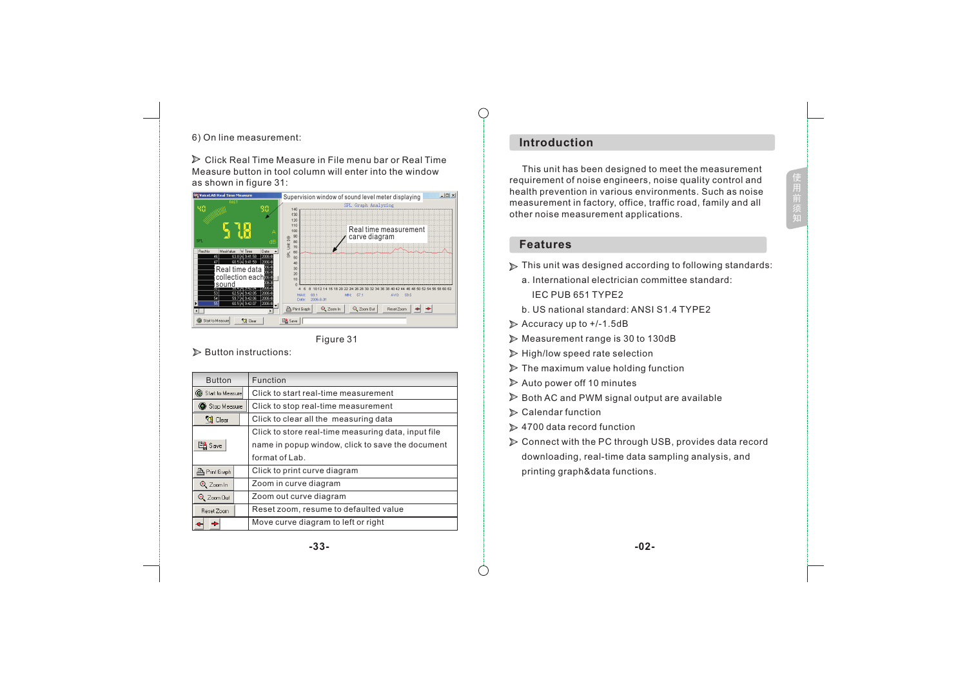## 6) On line measurement:

 $\triangleright$  Click Real Time Measure in File menu bar or Real Time Measure button in tool column will enter into the window as shown in figure  $31$ :



Figure 31

#### $\triangleright$  Button instructions:

| <b>Button</b>          | Function                                            |  |
|------------------------|-----------------------------------------------------|--|
| Start to Measure       | Click to start real-time measurement                |  |
| Stop Measure           | Click to stop real-time measurement                 |  |
| <sup>र</sup> ्षे Clear | Click to clear all the measuring data               |  |
|                        | Click to store real-time measuring data, input file |  |
| <b>B</b> Save          | name in popup window, click to save the document    |  |
|                        | format of Lab.                                      |  |
| <b>凸 Print Graph</b>   | Click to print curve diagram                        |  |
| Q Zoom In              | Zoom in curve diagram                               |  |
| Q Zoom Out             | Zoom out curve diagram                              |  |
| Reset Zoom             | Reset zoom, resume to defaulted value               |  |
|                        | Move curve diagram to left or right                 |  |

## **Introduction**

 This unit has been designed to meet the measurement requirement of noise engineers, noise quality control and health prevention in various environments. Such as noise measurement in factory, office, traffic road, family and all other noise measurement applications.

用

#### **Features**

- $\triangleright$  This unit was designed according to following standards:
	- a. International electrician committee standard: IEC PUB 651 TYPE2
	- b. US national standard: ANSI S1.4 TYPE2
- $\triangleright$  Accuracy up to  $+/-1.5dB$
- Measurement range is 30 to 130dB
- $\triangleright$  High/low speed rate selection
- $\triangleright$  The maximum value holding function
- $\triangleright$  Auto power off 10 minutes
- $\triangleright$  Both AC and PWM signal output are available
- $\triangleright$  Calendar function
- $\geq 4700$  data record function
- Connect with the PC through USB, provides data record downloading, real-time data sampling analysis, and printing graph&data functions.

#### **-33- -02-**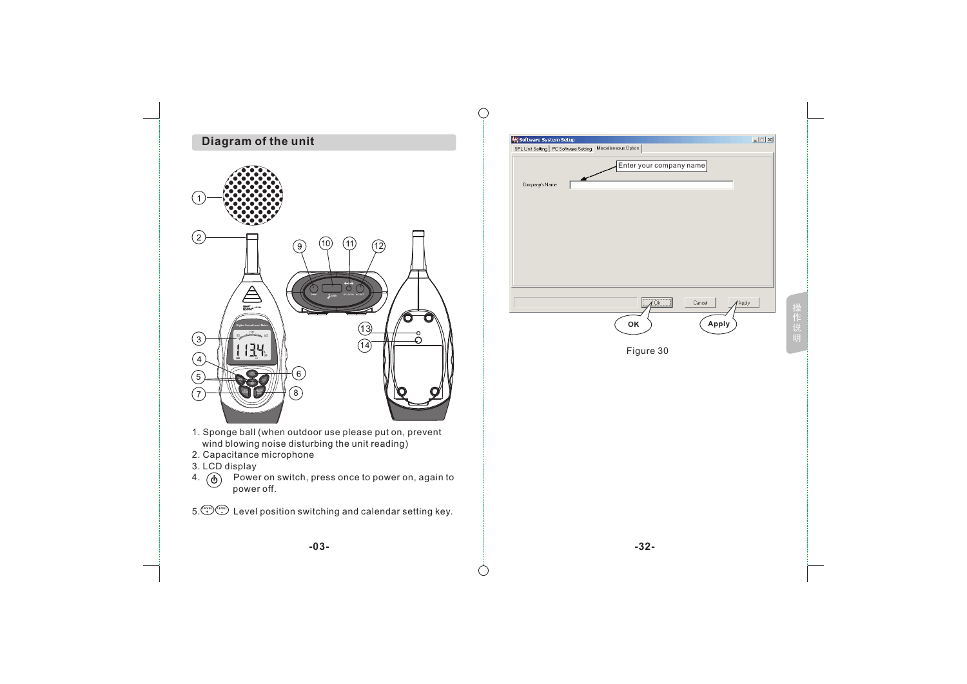

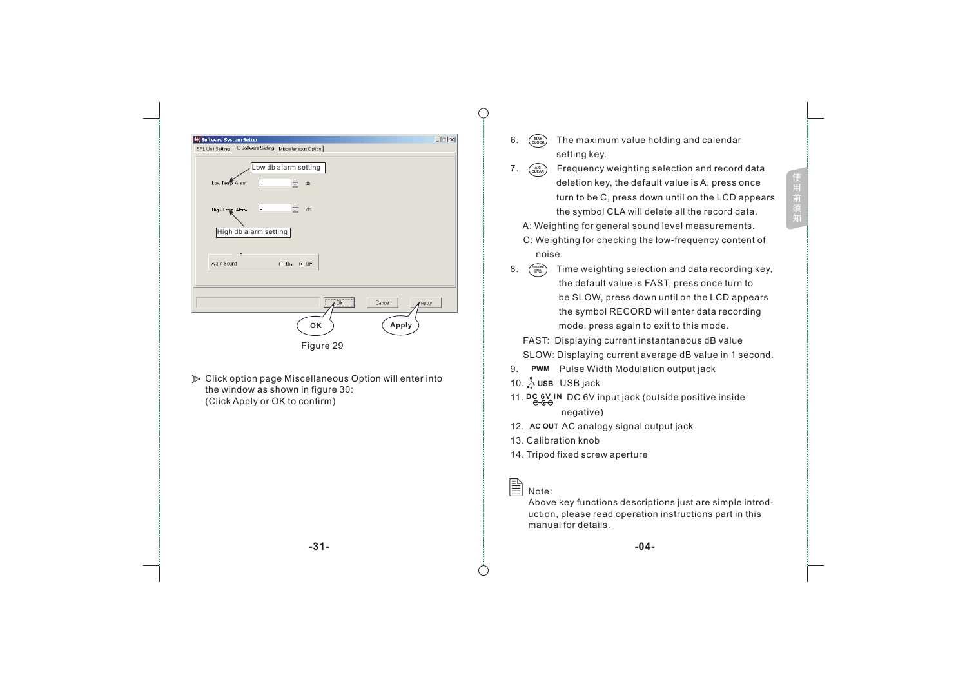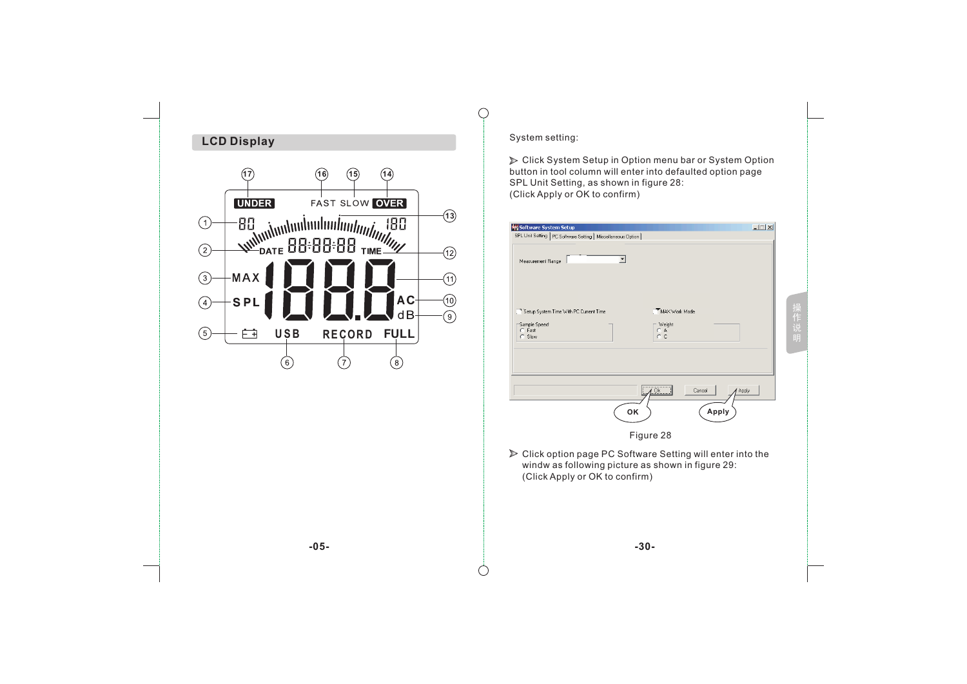

 Click System Setup in Option menu bar or System Option button in tool column will enter into defaulted option page SPL Unit Setting, as shown in figure 28:

| ᅬ<br>Measurement Range<br>Setup System Time With PC Current Time<br>MAX Work Mode<br>Sample Speed<br>Weight<br>C Fast<br>CA.<br>$C$ $C$<br>C Slow<br>Cancel<br>0k<br>Apply<br>OK<br>Apply<br>Figure 28<br>> Click option page PC Software Setting will enter into the<br>windw as following picture as shown in figure 29: | <b>My Software System Setup</b><br>SPL Unit Setting   PC Software Setting   Miscellaneous Option |  |  | $ \Box$ $\times$ |
|----------------------------------------------------------------------------------------------------------------------------------------------------------------------------------------------------------------------------------------------------------------------------------------------------------------------------|--------------------------------------------------------------------------------------------------|--|--|------------------|
|                                                                                                                                                                                                                                                                                                                            |                                                                                                  |  |  |                  |
|                                                                                                                                                                                                                                                                                                                            |                                                                                                  |  |  |                  |
|                                                                                                                                                                                                                                                                                                                            |                                                                                                  |  |  |                  |
|                                                                                                                                                                                                                                                                                                                            |                                                                                                  |  |  |                  |
| (Click Apply or OK to confirm)                                                                                                                                                                                                                                                                                             |                                                                                                  |  |  |                  |
|                                                                                                                                                                                                                                                                                                                            |                                                                                                  |  |  |                  |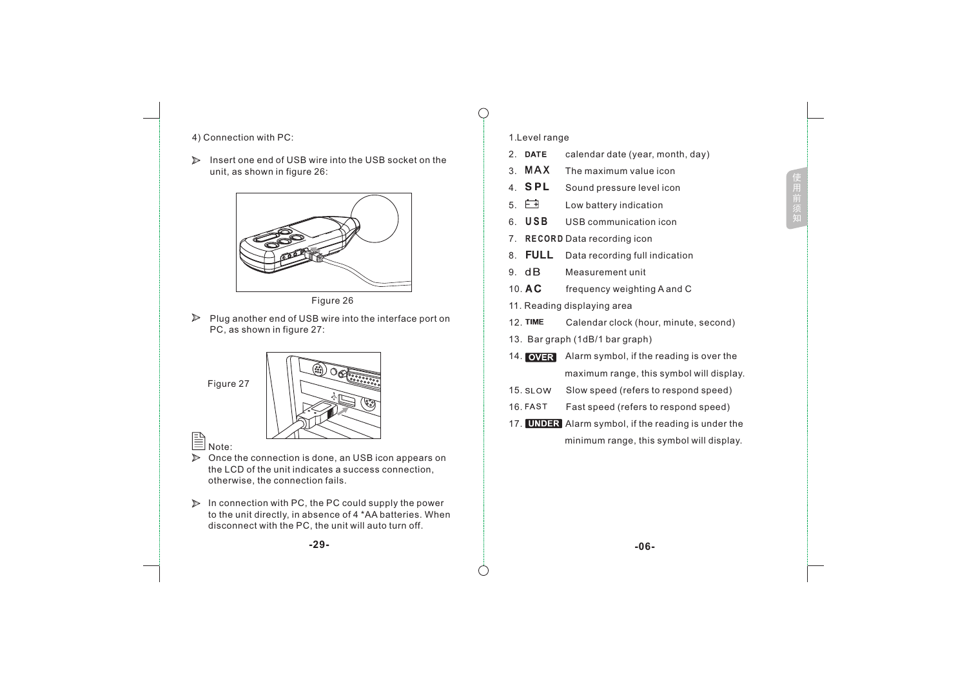### 4) Connection with PC:

Insert one end of USB wire into the USB socket on the unit, as shown in figure 26:



Figure 26

 $\blacktriangleright$  Plug another end of USB wire into the interface port on PC, as shown in figure 27:



- $\triangleright$  Once the connection is done, an USB icon appears on the LCD of the unit indicates a success connection, otherwise, the connection fails.
- $\triangleright$  In connection with PC, the PC could supply the power to the unit directly, in absence of 4 \*AA batteries. When disconnect with the PC, the unit will auto turn off.

### 1.Level range

 $\subset$ 

2. DATE calendar date (year, month, day)

用

- 3. MAX The maximum value icon
- 4. **SPL** Sound pressure level icon
- 5. Low battery indication
- **U S B** 6. USB communication icon
- 7. R**ECORD** Data recording icon
- **FULL Data recording full indication**
- 9. Measurement unit
- 10. AC frequency weighting A and C
- 11. Reading displaying area
- 12. TIME Calendar clock (hour, minute, second)
- 13. Bar graph (1dB/1 bar graph)
- 14. **OVER** Alarm symbol, if the reading is over the maximum range, this symbol will display.
- 15. Slow speed (refers to respond speed)
- 16. Fast speed (refers to respond speed)
- 17. **UNDER** Alarm symbol, if the reading is under the minimum range, this symbol will display.

**-29- -06-**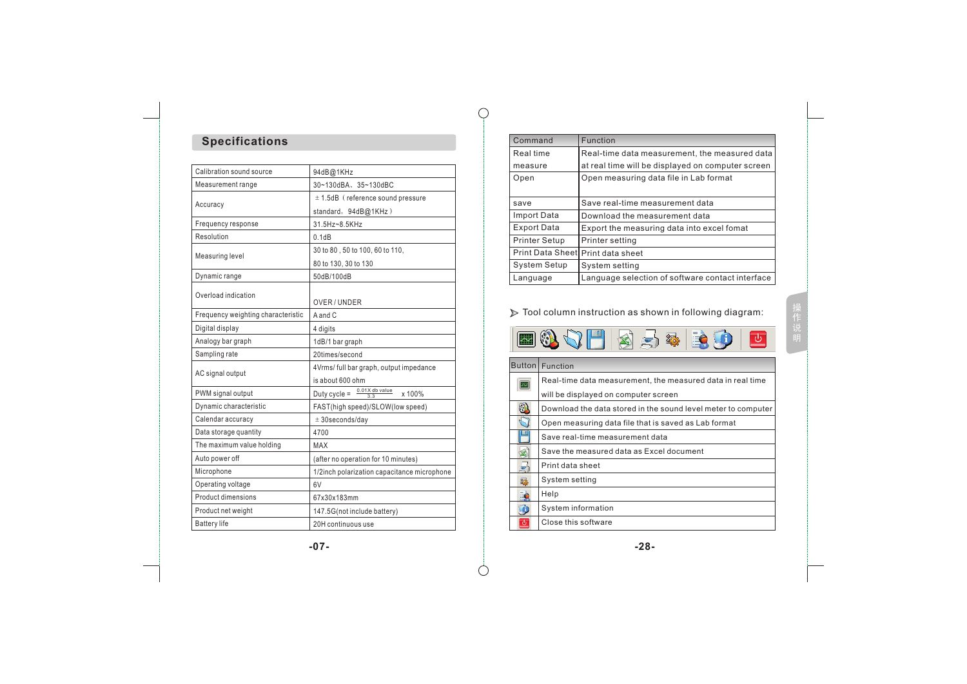# **Specifications**

| Calibration sound source           | 94dB@1KHz                                                        |  |  |  |
|------------------------------------|------------------------------------------------------------------|--|--|--|
| Measurement range                  | 30~130dBA、35~130dBC                                              |  |  |  |
|                                    | $± 1.5dB$ (reference sound pressure                              |  |  |  |
| Accuracy                           | standard, 94dB@1KHz)                                             |  |  |  |
| Frequency response                 | 31.5Hz~8.5KHz                                                    |  |  |  |
| Resolution                         | 0.1dB                                                            |  |  |  |
|                                    | 30 to 80, 50 to 100, 60 to 110,                                  |  |  |  |
| Measuring level                    | 80 to 130, 30 to 130                                             |  |  |  |
| Dynamic range                      | 50dB/100dB                                                       |  |  |  |
| Overload indication                |                                                                  |  |  |  |
|                                    | OVER / UNDER                                                     |  |  |  |
| Frequency weighting characteristic | A and C                                                          |  |  |  |
| Digital display                    | 4 digits                                                         |  |  |  |
| Analogy bar graph                  | 1dB/1 bar graph                                                  |  |  |  |
| Sampling rate                      | 20times/second                                                   |  |  |  |
|                                    | 4Vrms/ full bar graph, output impedance                          |  |  |  |
| AC signal output                   | is about 600 ohm                                                 |  |  |  |
| PWM signal output                  | Duty cycle = $\frac{0.01 \times \text{db value}}{2.2}$<br>x 100% |  |  |  |
| Dynamic characteristic             | FAST(high speed)/SLOW(low speed)                                 |  |  |  |
| Calendar accuracy                  | $± 30$ seconds/day                                               |  |  |  |
| Data storage quantity              | 4700                                                             |  |  |  |
| The maximum value holding          | MAX                                                              |  |  |  |
| Auto power off                     | (after no operation for 10 minutes)                              |  |  |  |
| Microphone                         | 1/2inch polarization capacitance microphone                      |  |  |  |
| Operating voltage                  | 6V                                                               |  |  |  |
| Product dimensions                 | 67x30x183mm                                                      |  |  |  |
| Product net weight                 | 147.5G(not include battery)                                      |  |  |  |
| <b>Battery life</b>                | 20H continuous use                                               |  |  |  |
|                                    |                                                                  |  |  |  |

| Command                  | Function                                          |
|--------------------------|---------------------------------------------------|
| Real time                | Real-time data measurement, the measured data     |
| measure                  | at real time will be displayed on computer screen |
| Open                     | Open measuring data file in Lab format            |
| save                     | Save real-time measurement data                   |
| <b>Import Data</b>       | Download the measurement data                     |
| Export Data              | Export the measuring data into excel fomat        |
| <b>Printer Setup</b>     | Printer setting                                   |
| <b>Print Data Sheetl</b> | Print data sheet                                  |
| System Setup             | System setting                                    |
| Language                 | Language selection of software contact interface  |

 $\bigcap$ 

 $( )$ 

Tool column instruction as shown in following diagram:

| <b>EQJH&amp;S&amp;BOD</b> |  |  |  |  |  |  |  |
|---------------------------|--|--|--|--|--|--|--|
|---------------------------|--|--|--|--|--|--|--|

÷

|         | Button   Function                                             |
|---------|---------------------------------------------------------------|
| Þ.      | Real-time data measurement, the measured data in real time    |
|         | will be displayed on computer screen                          |
| $\odot$ | Download the data stored in the sound level meter to computer |
|         | Open measuring data file that is saved as Lab format          |
|         | Save real-time measurement data                               |
|         | Save the measured data as Excel document                      |
| ÷       | Print data sheet                                              |
| 鍻       | System setting                                                |
|         | Help                                                          |
| L O     | System information                                            |
| ড       | Close this software                                           |
|         |                                                               |

**-07- -28-**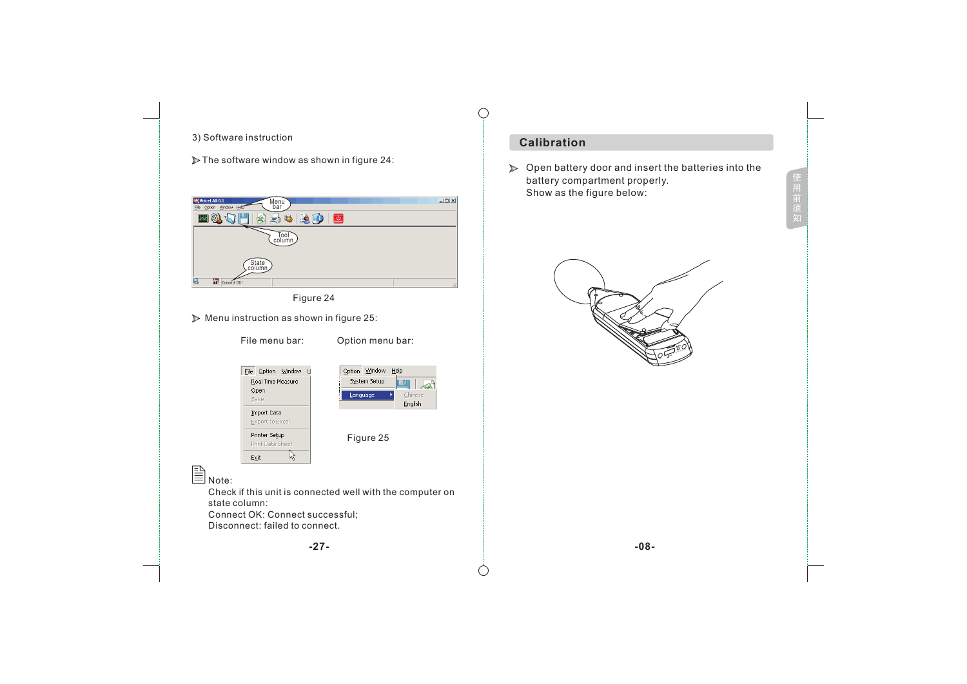

用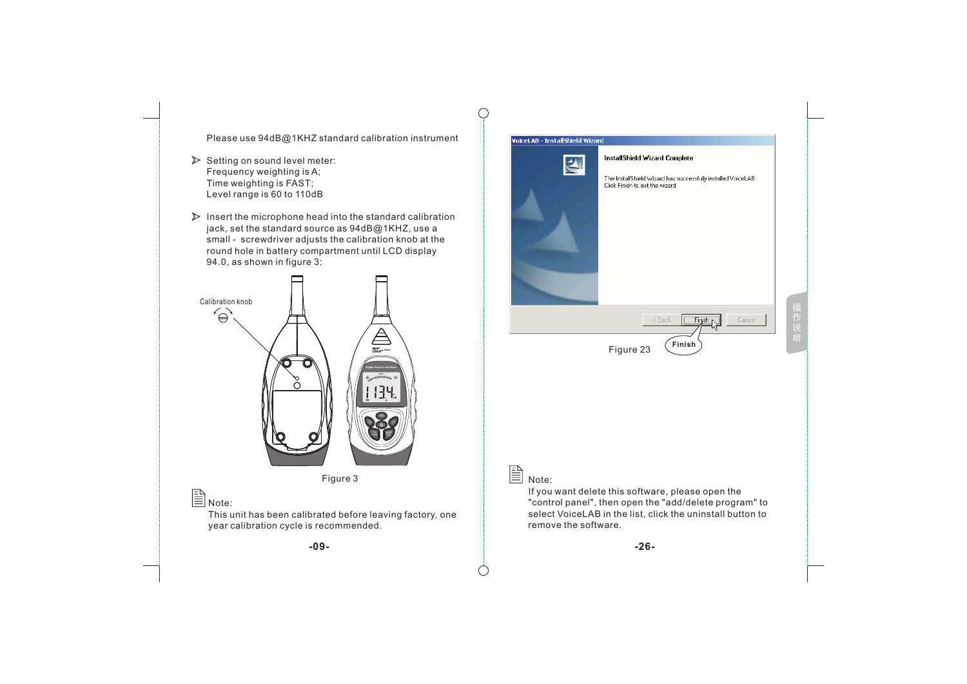Please use 94dB@1KHZ standard calibration instrument

- $\triangleright$  Setting on sound level meter: Frequency weighting is A; Time weighting is FAST; Level range is 60 to 110dB
- $\triangleright$  Insert the microphone head into the standard calibration jack, set the standard source as 94dB@1KHZ, use a small - screwdriver adjusts the calibration knob at the round hole in battery compartment until LCD display 94.0, as shown in figure 3:



This unit has been calibrated before leaving factory, one year calibration cycle is recommended.

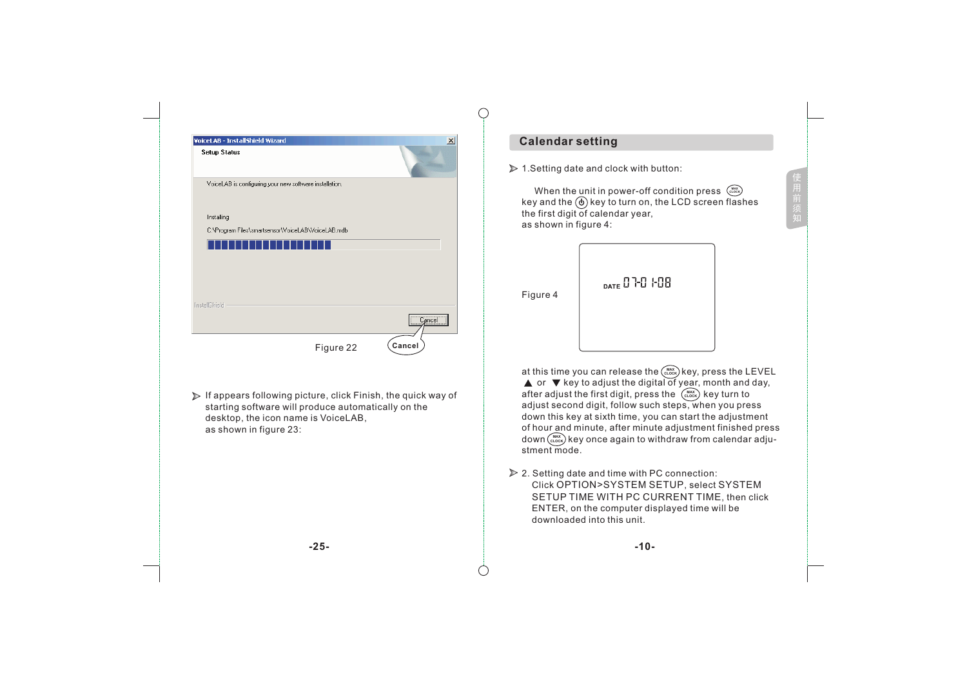| VoiceLAB - InstallShield Wizard<br>$\vert x \vert$                                                                                                                                                    | <b>Calendar setting</b>                                                                                                                                                                                                                                                                                                                                                                                                                                                                             |
|-------------------------------------------------------------------------------------------------------------------------------------------------------------------------------------------------------|-----------------------------------------------------------------------------------------------------------------------------------------------------------------------------------------------------------------------------------------------------------------------------------------------------------------------------------------------------------------------------------------------------------------------------------------------------------------------------------------------------|
| <b>Setup Status</b>                                                                                                                                                                                   | > 1. Setting date and clock with button:                                                                                                                                                                                                                                                                                                                                                                                                                                                            |
| VoiceLAB is configuring your new software installation.<br>Installing<br>C:\Program Files\smartsensor\VoiceLAB\VoiceLAB.mdb                                                                           | When the unit in power-off condition press $\binom{max}{c\text{ to }c}$<br>key and the $\textcircled{b}$ key to turn on, the LCD screen flashes<br>the first digit of calendar year,<br>as shown in figure 4:                                                                                                                                                                                                                                                                                       |
| InstallShield -<br>Cancel                                                                                                                                                                             | DATE 070 108<br>Figure 4                                                                                                                                                                                                                                                                                                                                                                                                                                                                            |
| Cancel<br>Figure 22                                                                                                                                                                                   |                                                                                                                                                                                                                                                                                                                                                                                                                                                                                                     |
| $\triangleright$ If appears following picture, click Finish, the quick way of<br>starting software will produce automatically on the<br>desktop, the icon name is VoiceLAB,<br>as shown in figure 23: | at this time you can release the (MAX) key, press the LEVEL<br>$\blacktriangle$ or $\nabla$ key to adjust the digital of year, month and day,<br>after adjust the first digit, press the $\binom{max}{c\text{ tooc}}$ key turn to<br>adjust second digit, follow such steps, when you press<br>down this key at sixth time, you can start the adjustment<br>of hour and minute, after minute adjustment finished press<br>down (MAX) key once again to withdraw from calendar adju-<br>stment mode. |
|                                                                                                                                                                                                       | ▶ 2. Setting date and time with PC connection:<br>Click OPTION>SYSTEM SETUP, select SYSTEM<br>SETUP TIME WITH PC CURRENT TIME, then click<br>ENTER, on the computer displayed time will be<br>downloaded into this unit.                                                                                                                                                                                                                                                                            |
| $-25-$                                                                                                                                                                                                | $-10-$                                                                                                                                                                                                                                                                                                                                                                                                                                                                                              |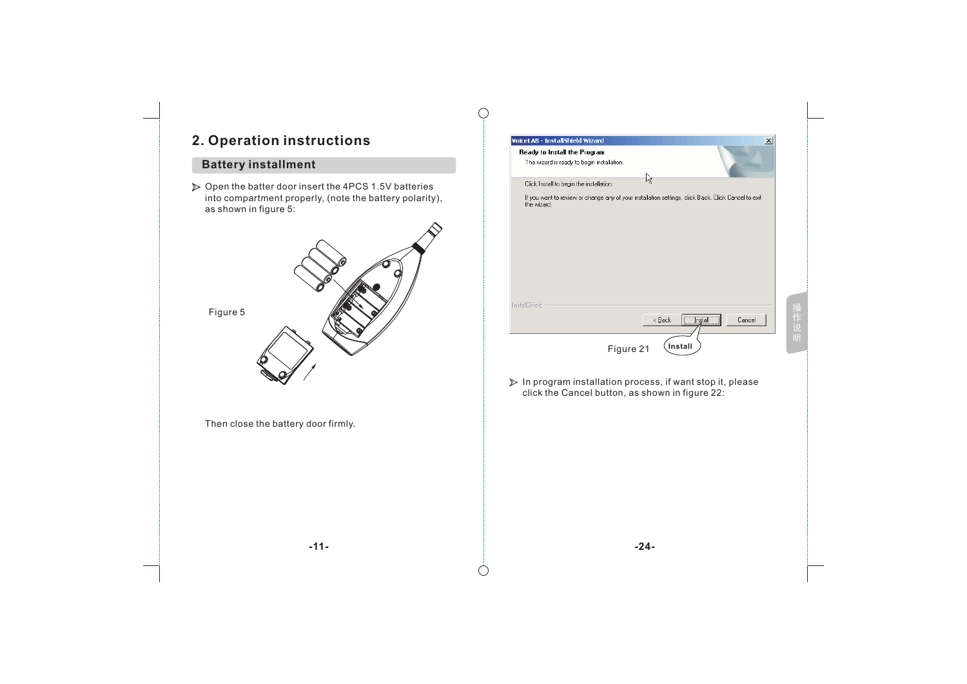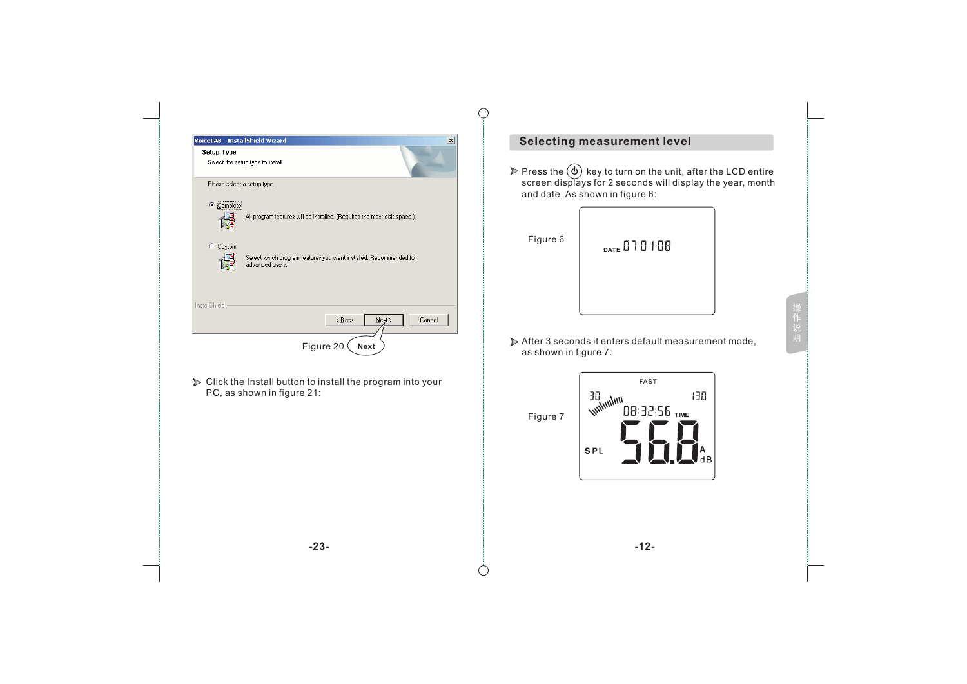| VoiceLAB - InstallShield Wizard<br>$\vert x \vert$<br>Setup Type<br>Select the setup type to install. | <b>Selecting measurement level</b><br>key to turn on the unit, after the LCD entire<br>$\triangleright$ Press the $(\phi)$<br>screen displays for 2 seconds will display the year, month<br>and date. As shown in figure 6: |  |  |  |
|-------------------------------------------------------------------------------------------------------|-----------------------------------------------------------------------------------------------------------------------------------------------------------------------------------------------------------------------------|--|--|--|
| Please select a setup type.<br>C Complete                                                             |                                                                                                                                                                                                                             |  |  |  |
| 慢<br>All program features will be installed. (Requires the most disk space.)                          |                                                                                                                                                                                                                             |  |  |  |
| C Custom<br>Select which program features you want installed. Recommended for<br>advanced users.      | Figure 6<br>DATE 07-07-08                                                                                                                                                                                                   |  |  |  |
| InstallShield<br>< <u>B</u> ack<br>$N$ ext ><br>Cancel<br>Figure 20<br>Next                           | 操作说明<br>After 3 seconds it enters default measurement mode,<br>as shown in figure 7:                                                                                                                                        |  |  |  |
| ▶ Click the Install button to install the program into your<br>PC, as shown in figure 21:             | FAST<br>130<br>unimi <sub>ty</sub><br>08:32:55 TIME<br>Figure 7<br><b>SPL</b>                                                                                                                                               |  |  |  |
| $-23-$                                                                                                | $-12-$                                                                                                                                                                                                                      |  |  |  |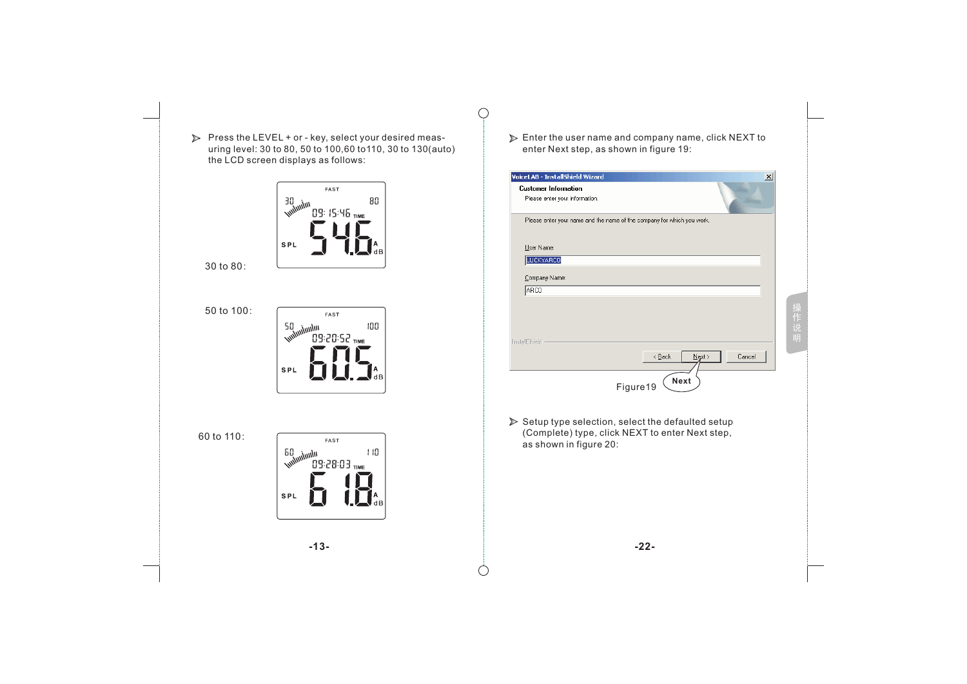



30 to 80:

50 to 100:



60 to 110:



Enter the user name and company name, click NEXT to enter Next step, as shown in figure 19:

 $\bigcirc$ 

| VoiceLAB - InstallShield Wizard                                                                                               | $\boldsymbol{\mathsf{x}}$ |
|-------------------------------------------------------------------------------------------------------------------------------|---------------------------|
| <b>Customer Information</b><br>Please enter your information.                                                                 |                           |
| Please enter your name and the name of the company for which you work.                                                        |                           |
| User Name:                                                                                                                    |                           |
| LUCKYARCO                                                                                                                     |                           |
| Company Name:                                                                                                                 |                           |
| ARCO                                                                                                                          |                           |
| InstallShield                                                                                                                 | 操作说明                      |
| $\leq$ Back<br>$N$ ext ><br>Cancel<br>Next<br>Figure19                                                                        |                           |
| Setup type selection, select the defaulted setup<br>(Complete) type, click NEXT to enter Next step,<br>as shown in figure 20: |                           |
|                                                                                                                               |                           |

**-13- -22-**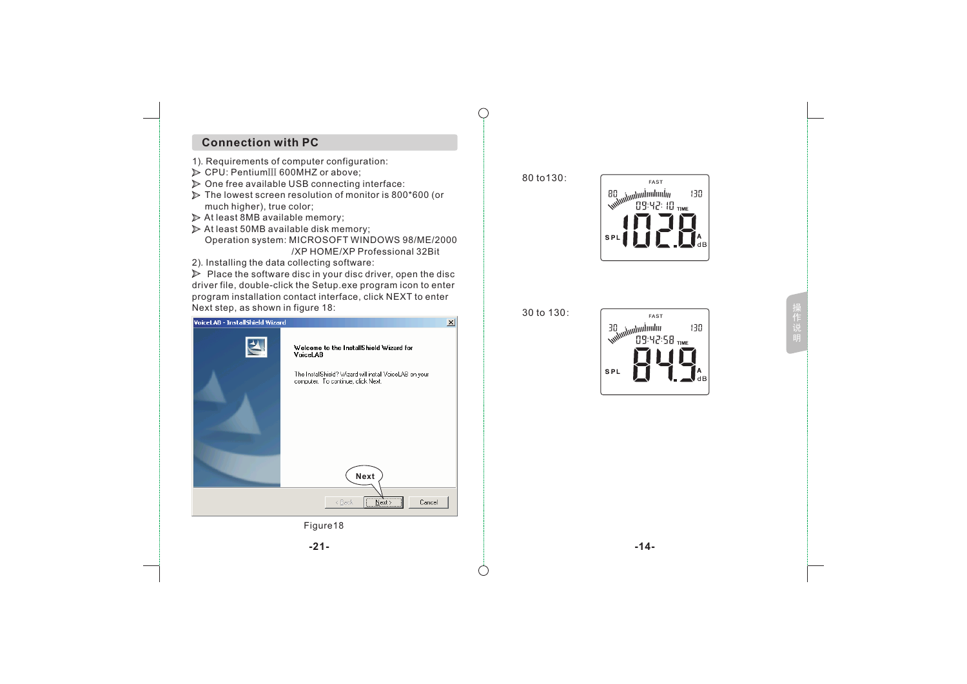## **Connection with PC**

- 1). Requirements of computer configuration:
- CPU: PentiumⅢ 600MHZ or above;
- $\triangleright$  One free available USB connecting interface:
- $\triangleright$  The lowest screen resolution of monitor is 800\*600 (or much higher), true color;
- At least 8MB available memory;
- $\triangleright$  At least 50MB available disk memory; Operation system: MICROSOFT WINDOWS 98/ME/2000 / XP HOME/XP Professional 32Bit
- 2). Installing the data collecting software:

 $\triangleright$  Place the software disc in your disc driver, open the disc driver file, double-click the Setup.exe program icon to enter program installation contact interface, click NEXT to enter Next step, as shown in figure 18:

| <b>VoiceLAB - InstallShield Wizard</b> |                                                                                                                                                      | 図 | $\cdots$                                                 |
|----------------------------------------|------------------------------------------------------------------------------------------------------------------------------------------------------|---|----------------------------------------------------------|
|                                        | Welcome to the InstallShield Wizard for<br>VoiceLAB<br>The InstallShield? Wizard will install VoiceLAB on your<br>computer. To continue, click Next. |   | anlındından<br>19:4 <sup>Tandında</sup> v<br>09:4<br>SPL |
|                                        | Next<br>$\overline{\square}$ Next ><br>Cancel<br>$\leq$ Back                                                                                         |   |                                                          |
|                                        | Figure18                                                                                                                                             |   |                                                          |
|                                        | $-21-$                                                                                                                                               |   | $-14-$                                                   |
|                                        |                                                                                                                                                      |   |                                                          |

80 to130:



|  | 30 to 130: |  |
|--|------------|--|
|  |            |  |

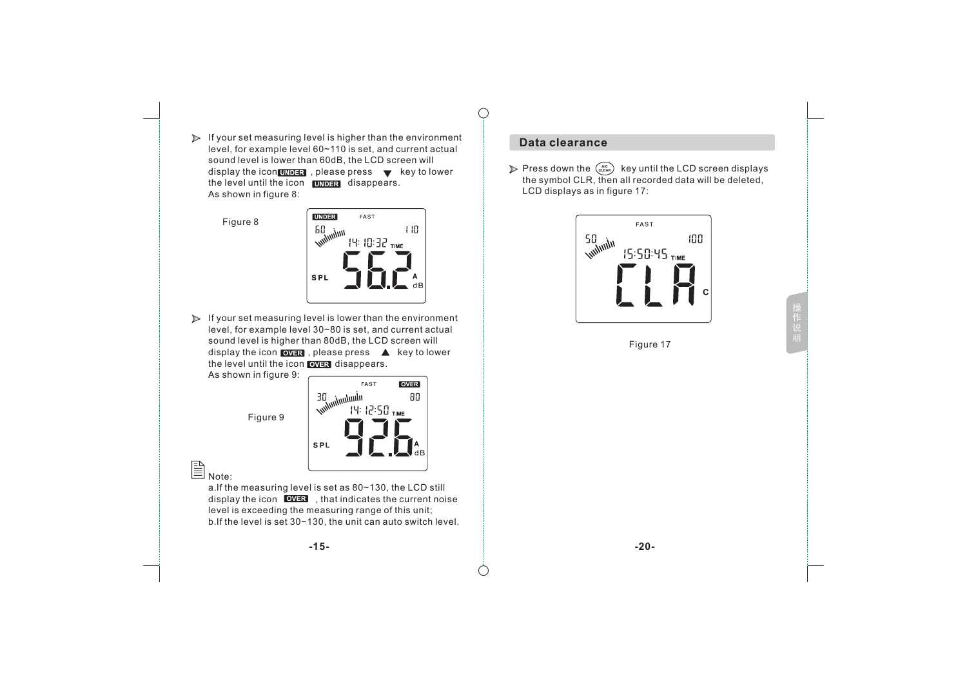$\triangleright$  If your set measuring level is higher than the environment level, for example level 60~110 is set, and current actual sound level is lower than 60dB, the LCD screen will display the icon  $\overline{\text{OMER}}$ , please press  $\blacktriangledown$  key to lower the level until the icon  $\Box$  disappears. As shown in figure 8:

Figure 8



 $\triangleright$  If your set measuring level is lower than the environment level, for example level 30~80 is set, and current actual sound level is higher than 80dB, the LCD screen will display the icon  $\sqrt{2\pi}$ , please press  $\triangle$  key to lower the level until the icon **OVER** disappears.

As shown in figure 9:



 $\mathbb{\bar{B}}_{\mathsf{Note:}}$ 

a.If the measuring level is set as 80~130, the LCD still display the icon  $\sqrt{\text{OVER}}$  , that indicates the current noise level is exceeding the measuring range of this unit; b.If the level is set 30~130, the unit can auto switch level.

## **Data clearance**

 $\bigcirc$ 

Press down the  $\left(\frac{AC}{C_E}A\right)$  key until the LCD screen displays the symbol CLR, then all recorded data will be deleted, LCD displays as in figure 17:



Figure 17

**-15- -20-**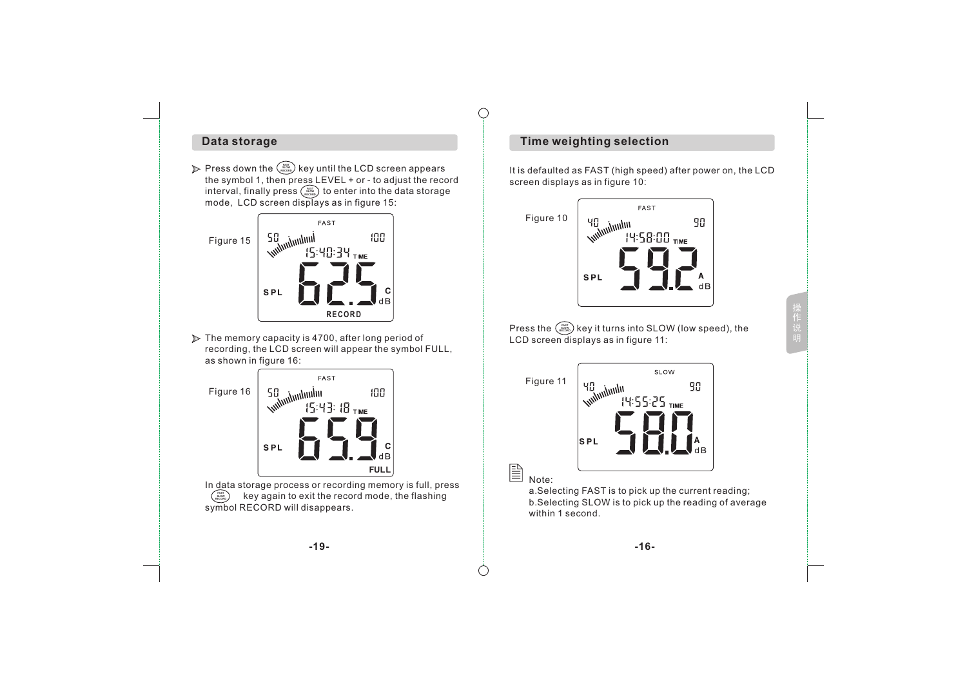